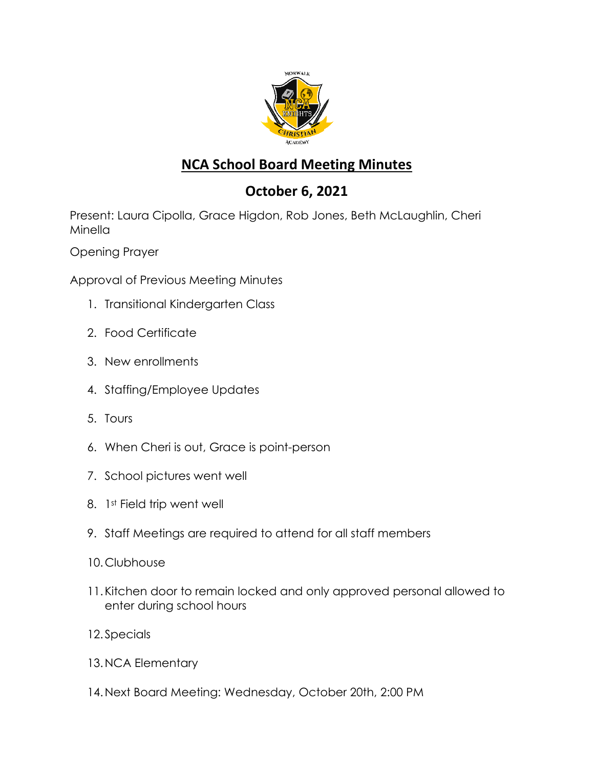

## **NCA School Board Meeting Minutes**

## **October 6, 2021**

Present: Laura Cipolla, Grace Higdon, Rob Jones, Beth McLaughlin, Cheri Minella

Opening Prayer

Approval of Previous Meeting Minutes

- 1. Transitional Kindergarten Class
- 2. Food Certificate
- 3. New enrollments
- 4. Staffing/Employee Updates
- 5. Tours
- 6. When Cheri is out, Grace is point-person
- 7. School pictures went well
- 8. 1st Field trip went well
- 9. Staff Meetings are required to attend for all staff members
- 10.Clubhouse
- 11.Kitchen door to remain locked and only approved personal allowed to enter during school hours
- 12.Specials
- 13.NCA Elementary
- 14.Next Board Meeting: Wednesday, October 20th, 2:00 PM